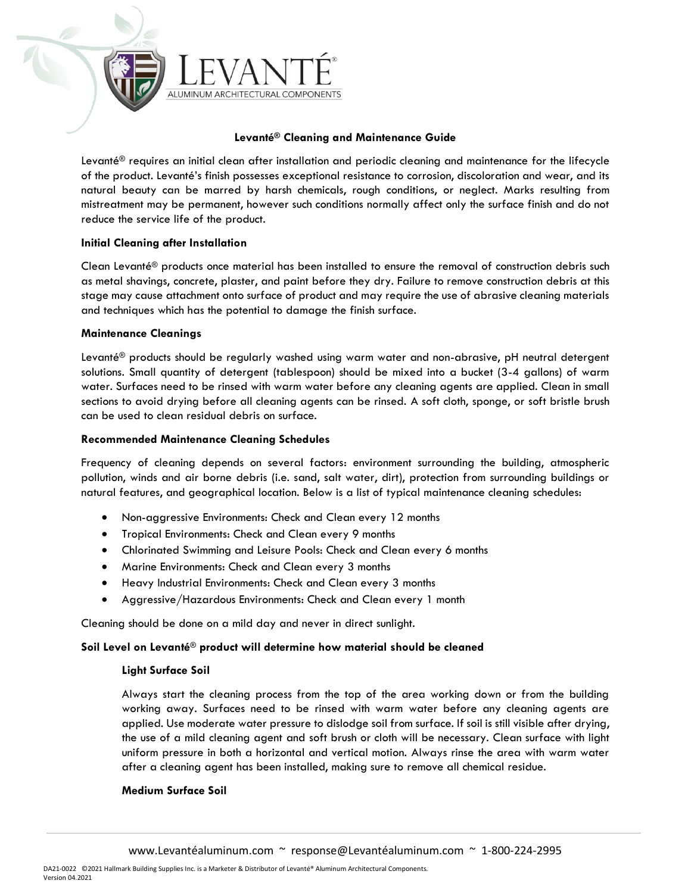

# **Levanté® Cleaning and Maintenance Guide**

Levanté® requires an initial clean after installation and periodic cleaning and maintenance for the lifecycle of the product. Levanté's finish possesses exceptional resistance to corrosion, discoloration and wear, and its natural beauty can be marred by harsh chemicals, rough conditions, or neglect. Marks resulting from mistreatment may be permanent, however such conditions normally affect only the surface finish and do not reduce the service life of the product.

### **Initial Cleaning after Installation**

Clean Levanté® products once material has been installed to ensure the removal of construction debris such as metal shavings, concrete, plaster, and paint before they dry. Failure to remove construction debris at this stage may cause attachment onto surface of product and may require the use of abrasive cleaning materials and techniques which has the potential to damage the finish surface.

### **Maintenance Cleanings**

Levanté® products should be regularly washed using warm water and non-abrasive, pH neutral detergent solutions. Small quantity of detergent (tablespoon) should be mixed into a bucket (3-4 gallons) of warm water. Surfaces need to be rinsed with warm water before any cleaning agents are applied. Clean in small sections to avoid drying before all cleaning agents can be rinsed. A soft cloth, sponge, or soft bristle brush can be used to clean residual debris on surface.

### **Recommended Maintenance Cleaning Schedules**

Frequency of cleaning depends on several factors: environment surrounding the building, atmospheric pollution, winds and air borne debris (i.e. sand, salt water, dirt), protection from surrounding buildings or natural features, and geographical location. Below is a list of typical maintenance cleaning schedules:

- Non-aggressive Environments: Check and Clean every 12 months
- Tropical Environments: Check and Clean every 9 months
- Chlorinated Swimming and Leisure Pools: Check and Clean every 6 months
- Marine Environments: Check and Clean every 3 months
- Heavy Industrial Environments: Check and Clean every 3 months
- Aggressive/Hazardous Environments: Check and Clean every 1 month

Cleaning should be done on a mild day and never in direct sunlight.

# **Soil Level on Levanté**® **product will determine how material should be cleaned**

# **Light Surface Soil**

Always start the cleaning process from the top of the area working down or from the building working away. Surfaces need to be rinsed with warm water before any cleaning agents are applied. Use moderate water pressure to dislodge soil from surface. If soil is still visible after drying, the use of a mild cleaning agent and soft brush or cloth will be necessary. Clean surface with light uniform pressure in both a horizontal and vertical motion. Always rinse the area with warm water after a cleaning agent has been installed, making sure to remove all chemical residue.

# **Medium Surface Soil**